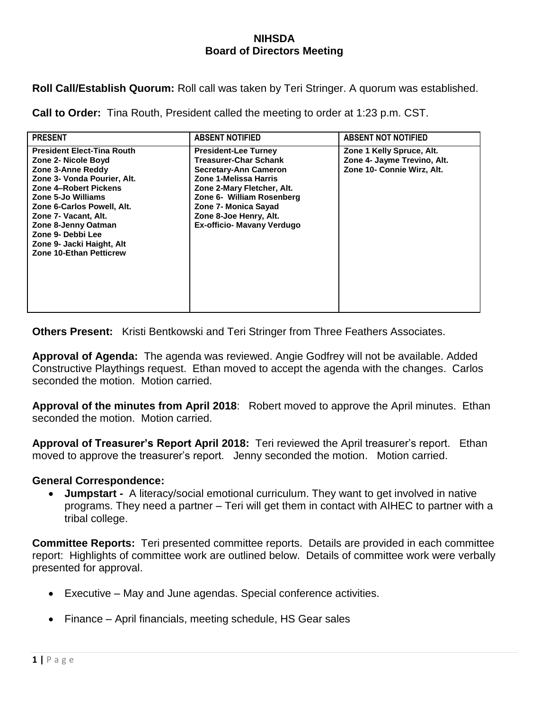## **NIHSDA Board of Directors Meeting**

**Roll Call/Establish Quorum:** Roll call was taken by Teri Stringer. A quorum was established.

**Call to Order:** Tina Routh, President called the meeting to order at 1:23 p.m. CST.

| <b>PRESENT</b>                                                                                                                                                                                                                                                                                                               | <b>ABSENT NOTIFIED</b>                                                                                                                                                                                                                                                 | <b>ABSENT NOT NOTIFIED</b>                                                             |
|------------------------------------------------------------------------------------------------------------------------------------------------------------------------------------------------------------------------------------------------------------------------------------------------------------------------------|------------------------------------------------------------------------------------------------------------------------------------------------------------------------------------------------------------------------------------------------------------------------|----------------------------------------------------------------------------------------|
| <b>President Elect-Tina Routh</b><br>Zone 2- Nicole Boyd<br>Zone 3-Anne Reddy<br>Zone 3- Vonda Pourier, Alt.<br>Zone 4-Robert Pickens<br>Zone 5-Jo Williams<br>Zone 6-Carlos Powell, Alt.<br>Zone 7- Vacant, Alt.<br>Zone 8-Jenny Oatman<br>Zone 9- Debbi Lee<br>Zone 9- Jacki Haight, Alt<br><b>Zone 10-Ethan Petticrew</b> | <b>President-Lee Turney</b><br><b>Treasurer-Char Schank</b><br><b>Secretary-Ann Cameron</b><br>Zone 1-Melissa Harris<br>Zone 2-Mary Fletcher, Alt.<br>Zone 6- William Rosenberg<br>Zone 7- Monica Sayad<br>Zone 8-Joe Henry, Alt.<br><b>Ex-officio- Mavany Verdugo</b> | Zone 1 Kelly Spruce, Alt.<br>Zone 4- Jayme Trevino, Alt.<br>Zone 10- Connie Wirz, Alt. |

**Others Present:** Kristi Bentkowski and Teri Stringer from Three Feathers Associates.

**Approval of Agenda:** The agenda was reviewed. Angie Godfrey will not be available. Added Constructive Playthings request. Ethan moved to accept the agenda with the changes. Carlos seconded the motion. Motion carried.

**Approval of the minutes from April 2018**: Robert moved to approve the April minutes. Ethan seconded the motion. Motion carried.

**Approval of Treasurer's Report April 2018:** Teri reviewed the April treasurer's report. Ethan moved to approve the treasurer's report. Jenny seconded the motion. Motion carried.

## **General Correspondence:**

**Jumpstart -** A literacy/social emotional curriculum. They want to get involved in native programs. They need a partner – Teri will get them in contact with AIHEC to partner with a tribal college.

**Committee Reports:** Teri presented committee reports. Details are provided in each committee report: Highlights of committee work are outlined below. Details of committee work were verbally presented for approval.

- Executive May and June agendas. Special conference activities.
- Finance April financials, meeting schedule, HS Gear sales